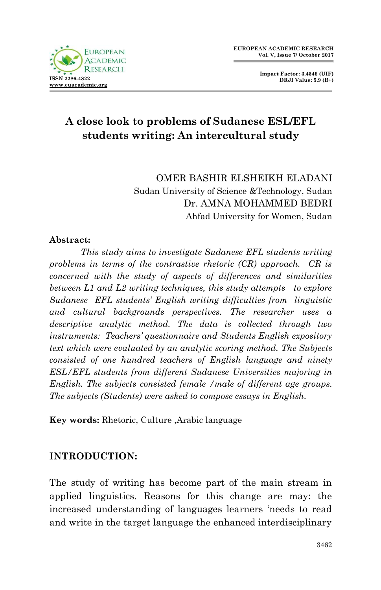

**Impact Factor: 3.4546 (UIF) DRJI Value: 5.9 (B+)**

# **A close look to problems of Sudanese ESL/EFL students writing: An intercultural study**

OMER BASHIR ELSHEIKH ELADANI Sudan University of Science &Technology, Sudan Dr. AMNA MOHAMMED BEDRI Ahfad University for Women, Sudan

#### **Abstract:**

*This study aims to investigate Sudanese EFL students writing problems in terms of the contrastive rhetoric (CR) approach. CR is concerned with the study of aspects of differences and similarities between L1 and L2 writing techniques, this study attempts to explore Sudanese EFL students' English writing difficulties from linguistic and cultural backgrounds perspectives. The researcher uses a descriptive analytic method. The data is collected through two instruments: Teachers' questionnaire and Students English expository text which were evaluated by an analytic scoring method. The Subjects consisted of one hundred teachers of English language and ninety ESL/EFL students from different Sudanese Universities majoring in English. The subjects consisted female /male of different age groups. The subjects (Students) were asked to compose essays in English.*

**Key words:** Rhetoric, Culture ,Arabic language

# **INTRODUCTION:**

The study of writing has become part of the main stream in applied linguistics. Reasons for this change are may: the increased understanding of languages learners "needs to read and write in the target language the enhanced interdisciplinary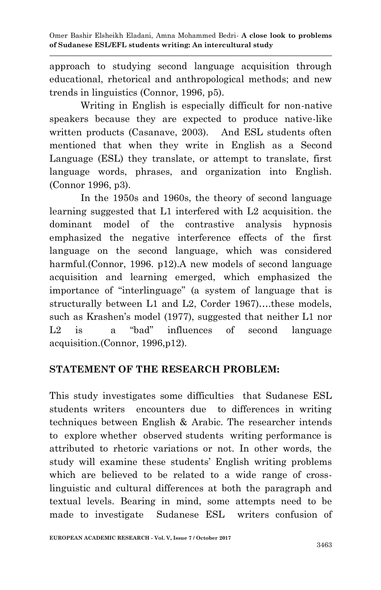approach to studying second language acquisition through educational, rhetorical and anthropological methods; and new trends in linguistics (Connor, 1996, p5).

Writing in English is especially difficult for non-native speakers because they are expected to produce native-like written products (Casanave, 2003). And ESL students often mentioned that when they write in English as a Second Language (ESL) they translate, or attempt to translate, first language words, phrases, and organization into English. (Connor 1996, p3).

In the 1950s and 1960s, the theory of second language learning suggested that L1 interfered with L2 acquisition. the dominant model of the contrastive analysis hypnosis emphasized the negative interference effects of the first language on the second language, which was considered harmful. (Connor, 1996. p12). A new models of second language acquisition and learning emerged, which emphasized the importance of "interlinguage" (a system of language that is structurally between L1 and L2, Corder 1967)….these models, such as Krashen's model (1977), suggested that neither L1 nor L<sub>2</sub> is a "bad" influences of second language acquisition.(Connor, 1996,p12).

#### **STATEMENT OF THE RESEARCH PROBLEM:**

This study investigates some difficulties that Sudanese ESL students writers encounters due to differences in writing techniques between English & Arabic. The researcher intends to explore whether observed students writing performance is attributed to rhetoric variations or not. In other words, the study will examine these students" English writing problems which are believed to be related to a wide range of crosslinguistic and cultural differences at both the paragraph and textual levels. Bearing in mind, some attempts need to be made to investigate Sudanese ESL writers confusion of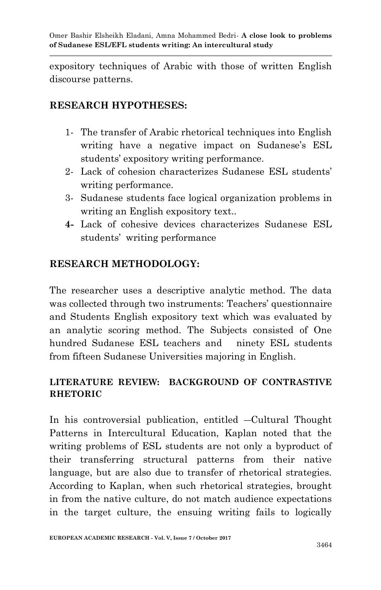expository techniques of Arabic with those of written English discourse patterns.

## **RESEARCH HYPOTHESES:**

- 1- The transfer of Arabic rhetorical techniques into English writing have a negative impact on Sudanese's ESL students' expository writing performance.
- 2- Lack of cohesion characterizes Sudanese ESL students" writing performance.
- 3- Sudanese students face logical organization problems in writing an English expository text..
- **4-** Lack of cohesive devices characterizes Sudanese ESL students' writing performance

# **RESEARCH METHODOLOGY:**

The researcher uses a descriptive analytic method. The data was collected through two instruments: Teachers' questionnaire and Students English expository text which was evaluated by an analytic scoring method. The Subjects consisted of One hundred Sudanese ESL teachers and ninety ESL students from fifteen Sudanese Universities majoring in English.

# **LITERATURE REVIEW: BACKGROUND OF CONTRASTIVE RHETORIC**

In his controversial publication, entitled ―Cultural Thought Patterns in Intercultural Education, Kaplan noted that the writing problems of ESL students are not only a byproduct of their transferring structural patterns from their native language, but are also due to transfer of rhetorical strategies. According to Kaplan, when such rhetorical strategies, brought in from the native culture, do not match audience expectations in the target culture, the ensuing writing fails to logically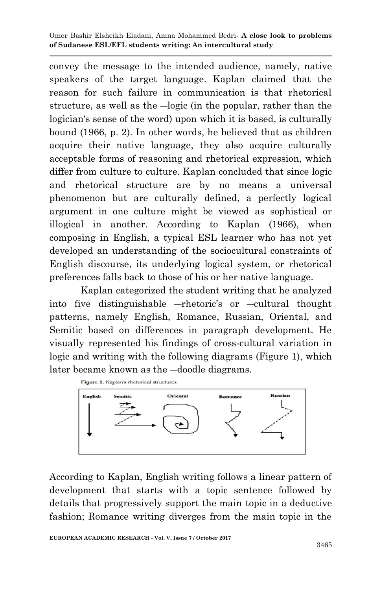convey the message to the intended audience, namely, native speakers of the target language. Kaplan claimed that the reason for such failure in communication is that rhetorical structure, as well as the ―logic (in the popular, rather than the logician's sense of the word) upon which it is based, is culturally bound (1966, p. 2). In other words, he believed that as children acquire their native language, they also acquire culturally acceptable forms of reasoning and rhetorical expression, which differ from culture to culture. Kaplan concluded that since logic and rhetorical structure are by no means a universal phenomenon but are culturally defined, a perfectly logical argument in one culture might be viewed as sophistical or illogical in another. According to Kaplan (1966), when composing in English, a typical ESL learner who has not yet developed an understanding of the sociocultural constraints of English discourse, its underlying logical system, or rhetorical preferences falls back to those of his or her native language.

Kaplan categorized the student writing that he analyzed into five distinguishable —rhetoric's or —cultural thought patterns, namely English, Romance, Russian, Oriental, and Semitic based on differences in paragraph development. He visually represented his findings of cross-cultural variation in logic and writing with the following diagrams (Figure 1), which later became known as the ―doodle diagrams.



According to Kaplan, English writing follows a linear pattern of development that starts with a topic sentence followed by details that progressively support the main topic in a deductive fashion; Romance writing diverges from the main topic in the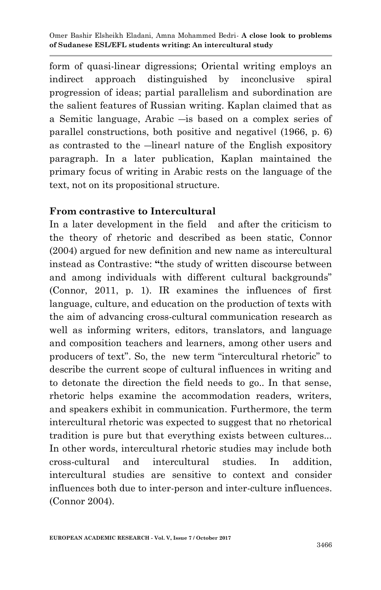form of quasi-linear digressions; Oriental writing employs an indirect approach distinguished by inconclusive spiral progression of ideas; partial parallelism and subordination are the salient features of Russian writing. Kaplan claimed that as a Semitic language, Arabic ―is based on a complex series of parallel constructions, both positive and negative‖ (1966, p. 6) as contrasted to the ―linear‖ nature of the English expository paragraph. In a later publication, Kaplan maintained the primary focus of writing in Arabic rests on the language of the text, not on its propositional structure.

### **From contrastive to Intercultural**

In a later development in the field and after the criticism to the theory of rhetoric and described as been static, Connor (2004) argued for new definition and new name as intercultural instead as Contrastive: **"**the study of written discourse between and among individuals with different cultural backgrounds" (Connor, 2011, p. 1). IR examines the influences of first language, culture, and education on the production of texts with the aim of advancing cross-cultural communication research as well as informing writers, editors, translators, and language and composition teachers and learners, among other users and producers of text". So, the new term "intercultural rhetoric" to describe the current scope of cultural influences in writing and to detonate the direction the field needs to go.. In that sense, rhetoric helps examine the accommodation readers, writers, and speakers exhibit in communication. Furthermore, the term intercultural rhetoric was expected to suggest that no rhetorical tradition is pure but that everything exists between cultures... In other words, intercultural rhetoric studies may include both cross-cultural and intercultural studies. In addition, intercultural studies are sensitive to context and consider influences both due to inter-person and inter-culture influences. (Connor 2004).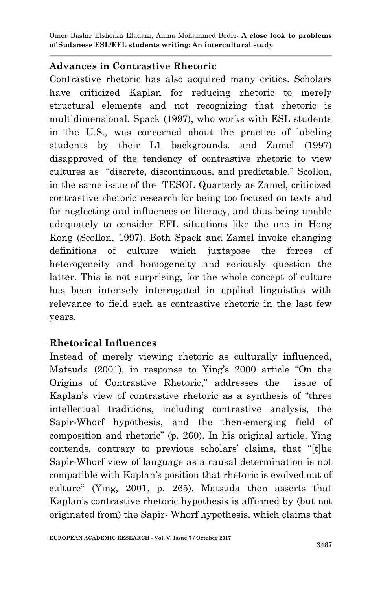# **Advances in Contrastive Rhetoric**

Contrastive rhetoric has also acquired many critics. Scholars have criticized Kaplan for reducing rhetoric to merely structural elements and not recognizing that rhetoric is multidimensional. Spack (1997), who works with ESL students in the U.S., was concerned about the practice of labeling students by their L1 backgrounds, and Zamel (1997) disapproved of the tendency of contrastive rhetoric to view cultures as "discrete, discontinuous, and predictable." Scollon, in the same issue of the TESOL Quarterly as Zamel, criticized contrastive rhetoric research for being too focused on texts and for neglecting oral influences on literacy, and thus being unable adequately to consider EFL situations like the one in Hong Kong (Scollon, 1997). Both Spack and Zamel invoke changing definitions of culture which juxtapose the forces of heterogeneity and homogeneity and seriously question the latter. This is not surprising, for the whole concept of culture has been intensely interrogated in applied linguistics with relevance to field such as contrastive rhetoric in the last few years.

# **Rhetorical Influences**

Instead of merely viewing rhetoric as culturally influenced, Matsuda (2001), in response to Ying's 2000 article "On the Origins of Contrastive Rhetoric," addresses the issue of Kaplan"s view of contrastive rhetoric as a synthesis of "three intellectual traditions, including contrastive analysis, the Sapir-Whorf hypothesis, and the then-emerging field of composition and rhetoric" (p. 260). In his original article, Ying contends, contrary to previous scholars" claims, that "[t]he Sapir-Whorf view of language as a causal determination is not compatible with Kaplan"s position that rhetoric is evolved out of culture" (Ying, 2001, p. 265). Matsuda then asserts that Kaplan"s contrastive rhetoric hypothesis is affirmed by (but not originated from) the Sapir- Whorf hypothesis, which claims that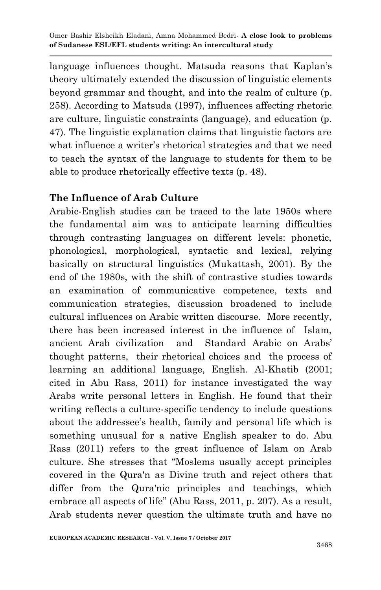language influences thought. Matsuda reasons that Kaplan's theory ultimately extended the discussion of linguistic elements beyond grammar and thought, and into the realm of culture (p. 258). According to Matsuda (1997), influences affecting rhetoric are culture, linguistic constraints (language), and education (p. 47). The linguistic explanation claims that linguistic factors are what influence a writer's rhetorical strategies and that we need to teach the syntax of the language to students for them to be able to produce rhetorically effective texts (p. 48).

### **The Influence of Arab Culture**

Arabic-English studies can be traced to the late 1950s where the fundamental aim was to anticipate learning difficulties through contrasting languages on different levels: phonetic, phonological, morphological, syntactic and lexical, relying basically on structural linguistics (Mukattash, 2001). By the end of the 1980s, with the shift of contrastive studies towards an examination of communicative competence, texts and communication strategies, discussion broadened to include cultural influences on Arabic written discourse. More recently, there has been increased interest in the influence of Islam, ancient Arab civilization and Standard Arabic on Arabs" thought patterns, their rhetorical choices and the process of learning an additional language, English. Al-Khatib (2001; cited in Abu Rass, 2011) for instance investigated the way Arabs write personal letters in English. He found that their writing reflects a culture-specific tendency to include questions about the addressee's health, family and personal life which is something unusual for a native English speaker to do. Abu Rass (2011) refers to the great influence of Islam on Arab culture. She stresses that "Moslems usually accept principles covered in the Qura'n as Divine truth and reject others that differ from the Qura'nic principles and teachings, which embrace all aspects of life" (Abu Rass, 2011, p. 207). As a result, Arab students never question the ultimate truth and have no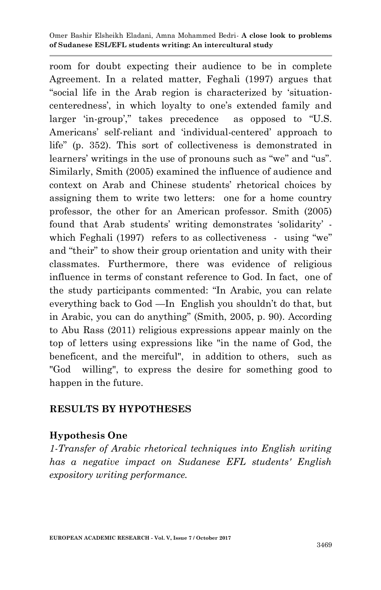room for doubt expecting their audience to be in complete Agreement. In a related matter, Feghali (1997) argues that "social life in the Arab region is characterized by "situationcenteredness", in which loyalty to one"s extended family and larger 'in-group'," takes precedence as opposed to "U.S. Americans" self-reliant and "individual-centered" approach to life" (p. 352). This sort of collectiveness is demonstrated in learners' writings in the use of pronouns such as "we" and "us". Similarly, Smith (2005) examined the influence of audience and context on Arab and Chinese students" rhetorical choices by assigning them to write two letters: one for a home country professor, the other for an American professor. Smith (2005) found that Arab students' writing demonstrates 'solidarity' which Feghali (1997) refers to as collectiveness - using "we" and "their" to show their group orientation and unity with their classmates. Furthermore, there was evidence of religious influence in terms of constant reference to God. In fact, one of the study participants commented: "In Arabic, you can relate everything back to God —In English you shouldn"t do that, but in Arabic, you can do anything" (Smith, 2005, p. 90). According to Abu Rass (2011) religious expressions appear mainly on the top of letters using expressions like "in the name of God, the beneficent, and the merciful", in addition to others, such as "God willing", to express the desire for something good to happen in the future.

#### **RESULTS BY HYPOTHESES**

# **Hypothesis One**

*1-Transfer of Arabic rhetorical techniques into English writing has a negative impact on Sudanese EFL students' English expository writing performance.*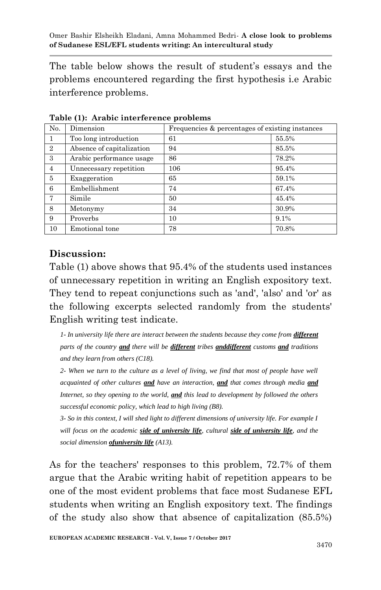The table below shows the result of student's essays and the problems encountered regarding the first hypothesis i.e Arabic interference problems.

| No.            | Dimension                 | Frequencies & percentages of existing instances |       |  |
|----------------|---------------------------|-------------------------------------------------|-------|--|
|                | Too long introduction     | 61                                              | 55.5% |  |
| $\overline{2}$ | Absence of capitalization | 94                                              | 85.5% |  |
| 3              | Arabic performance usage  | 86                                              | 78.2% |  |
| 4              | Unnecessary repetition    | 106                                             | 95.4% |  |
| 5              | Exaggeration              | 65                                              | 59.1% |  |
| 6              | Embellishment             | 74                                              | 67.4% |  |
| 7              | Simile                    | 50                                              | 45.4% |  |
| 8              | Metonymy                  | 34                                              | 30.9% |  |
| 9              | Proverbs                  | 10                                              | 9.1%  |  |
| 10             | Emotional tone            | 78                                              | 70.8% |  |

**Table (1): Arabic interference problems**

# **Discussion:**

Table (1) above shows that 95.4% of the students used instances of unnecessary repetition in writing an English expository text. They tend to repeat conjunctions such as 'and', 'also' and 'or' as the following excerpts selected randomly from the students' English writing test indicate.

*1-* In university life there are interact between the students because they come from *different parts of the country and there will be different tribes anddifferent customs and traditions and they learn from others (C18).*

*2- When we turn to the culture as a level of living, we find that most of people have well acquainted of other cultures and have an interaction, and that comes through media and Internet, so they opening to the world, and this lead to development by followed the others successful economic policy, which lead to high living (B8).*

*3- So in this context, I will shed light to different dimensions of university life. For example I will focus on the academic side of university life, cultural side of university life, and the social dimension ofuniversity life (A13).*

As for the teachers' responses to this problem, 72.7% of them argue that the Arabic writing habit of repetition appears to be one of the most evident problems that face most Sudanese EFL students when writing an English expository text. The findings of the study also show that absence of capitalization (85.5%)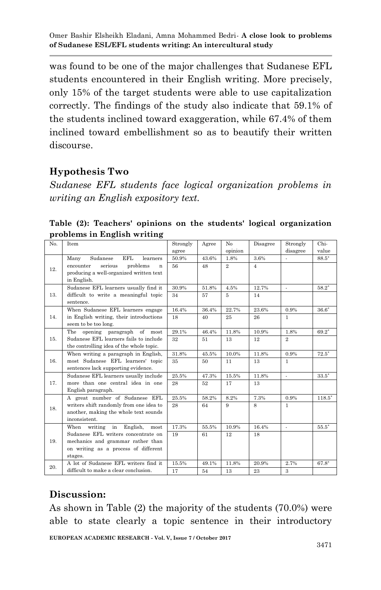was found to be one of the major challenges that Sudanese EFL students encountered in their English writing. More precisely, only 15% of the target students were able to use capitalization correctly. The findings of the study also indicate that 59.1% of the students inclined toward exaggeration, while 67.4% of them inclined toward embellishment so as to beautify their written discourse.

# **Hypothesis Two**

*Sudanese EFL students face logical organization problems in writing an English expository text.*

**Table (2): Teachers' opinions on the students' logical organization problems in English writing**

| No. | Item                                       | Strongly | Agree | No             | Disagree       | Strongly       | Chi-     |
|-----|--------------------------------------------|----------|-------|----------------|----------------|----------------|----------|
|     |                                            | agree    |       | opinion        |                | disagree       | value    |
|     | <b>EFL</b><br>Many<br>Sudanese<br>learners | 50.9%    | 43.6% | 1.8%           | 3.6%           | ÷              | $88.5*$  |
| 12. | serious<br>problems<br>encounter<br>n      | 56       | 48    | $\overline{2}$ | $\overline{4}$ |                |          |
|     | producing a well-organized written text    |          |       |                |                |                |          |
|     | in English.                                |          |       |                |                |                |          |
|     | Sudanese EFL learners usually find it      | 30.9%    | 51.8% | 4.5%           | 12.7%          | $\mathcal{L}$  | $58.2^*$ |
| 13. | difficult to write a meaningful topic      | 34       | 57    | 5              | 14             |                |          |
|     | sentence.                                  |          |       |                |                |                |          |
|     | When Sudanese EFL learners engage          | 16.4%    | 36.4% | 22.7%          | 23.6%          | 0.9%           | $36.6*$  |
| 14. | in English writing, their introductions    | 18       | 40    | 25             | 26             | $\mathbf{1}$   |          |
|     | seem to be too long.                       |          |       |                |                |                |          |
|     | opening paragraph of most<br>The           | 29.1%    | 46.4% | 11.8%          | 10.9%          | 1.8%           | $69.2*$  |
| 15. | Sudanese EFL learners fails to include     | 32       | 51    | 13             | 12             | $\overline{2}$ |          |
|     | the controlling idea of the whole topic.   |          |       |                |                |                |          |
|     | When writing a paragraph in English,       | 31.8%    | 45.5% | 10.0%          | 11.8%          | 0.9%           | $72.5*$  |
| 16. | most Sudanese EFL learners' topic          | 35       | 50    | 11             | 13             | $\mathbf{1}$   |          |
|     | sentences lack supporting evidence.        |          |       |                |                |                |          |
|     | Sudanese EFL learners usually include      | 25.5%    | 47.3% | 15.5%          | 11.8%          | ÷              | $33.5*$  |
| 17. | more than one central idea in one          | 28       | 52    | 17             | 13             |                |          |
|     | English paragraph.                         |          |       |                |                |                |          |
| 18. | A great number of Sudanese EFL             | 25.5%    | 58.2% | 8.2%           | 7.3%           | 0.9%           | $118.5*$ |
|     | writers shift randomly from one idea to    | 28       | 64    | 9              | 8              | $\mathbf{1}$   |          |
|     | another, making the whole text sounds      |          |       |                |                |                |          |
|     | inconsistent.                              |          |       |                |                |                |          |
| 19. | When writing in English,<br>most           | 17.3%    | 55.5% | 10.9%          | 16.4%          | $\mathcal{L}$  | $55.5*$  |
|     | Sudanese EFL writers concentrate on        | 19       | 61    | 12             | 18             |                |          |
|     | mechanics and grammar rather than          |          |       |                |                |                |          |
|     | on writing as a process of different       |          |       |                |                |                |          |
|     | stages.                                    |          |       |                |                |                |          |
| 20. | A lot of Sudanese EFL writers find it      | 15.5%    | 49.1% | 11.8%          | 20.9%          | 2.7%           | $67.8*$  |
|     | difficult to make a clear conclusion.      | 17       | 54    | 13             | 23             | 3              |          |

#### **Discussion:**

As shown in Table (2) the majority of the students (70.0%) were able to state clearly a topic sentence in their introductory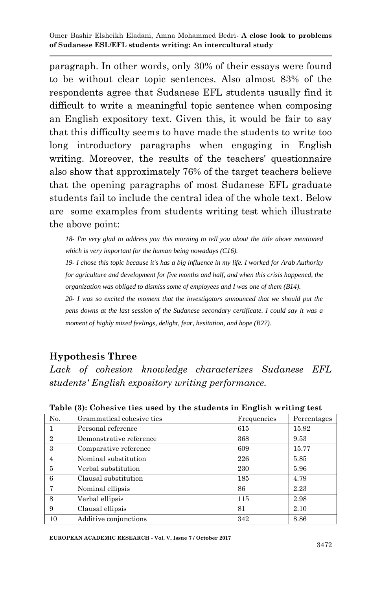paragraph. In other words, only 30% of their essays were found to be without clear topic sentences. Also almost 83% of the respondents agree that Sudanese EFL students usually find it difficult to write a meaningful topic sentence when composing an English expository text. Given this, it would be fair to say that this difficulty seems to have made the students to write too long introductory paragraphs when engaging in English writing. Moreover, the results of the teachers' questionnaire also show that approximately 76% of the target teachers believe that the opening paragraphs of most Sudanese EFL graduate students fail to include the central idea of the whole text. Below are some examples from students writing test which illustrate the above point:

*18- I'm very glad to address you this morning to tell you about the title above mentioned which is very important for the human being nowadays (C16).*

*19- I chose this topic because it's has a big influence in my life. I worked for Arab Authority for agriculture and development for five months and half, and when this crisis happened, the organization was obliged to dismiss some of employees and I was one of them (B14).* 

*20- I was so excited the moment that the investigators announced that we should put the pens downs at the last session of the Sudanese secondary certificate. I could say it was a moment of highly mixed feelings, delight, fear, hesitation, and hope (B27).*

# **Hypothesis Three**

*Lack of cohesion knowledge characterizes Sudanese EFL students' English expository writing performance.*

| No.            | Grammatical cohesive ties | Frequencies | Percentages |
|----------------|---------------------------|-------------|-------------|
|                | Personal reference        | 615         | 15.92       |
| $\overline{2}$ | Demonstrative reference   | 368         | 9.53        |
| 3              | Comparative reference     | 609         | 15.77       |
| $\overline{4}$ | Nominal substitution      | 226         | 5.85        |
| 5              | Verbal substitution       | 230         | 5.96        |
| 6              | Clausal substitution      | 185         | 4.79        |
| 7              | Nominal ellipsis          | 86          | 2.23        |
| 8              | Verbal ellipsis           | 115         | 2.98        |
| 9              | Clausal ellipsis          | 81          | 2.10        |
| 10             | Additive conjunctions     | 342         | 8.86        |

**Table (3): Cohesive ties used by the students in English writing test**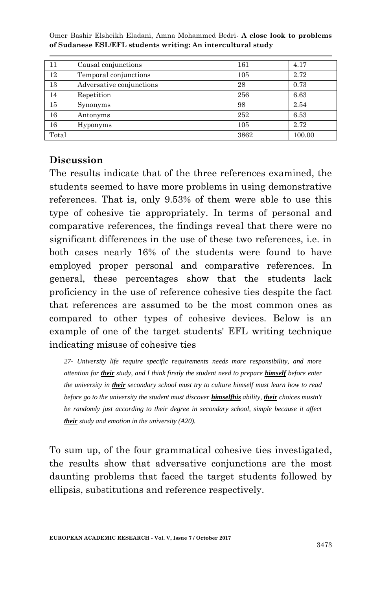| 11    | Causal conjunctions      | 161  | 4.17   |
|-------|--------------------------|------|--------|
| 12    | Temporal conjunctions    | 105  | 2.72   |
| 13    | Adversative conjunctions | 28   | 0.73   |
| 14    | Repetition               | 256  | 6.63   |
| 15    | Synonyms                 | 98   | 2.54   |
| 16    | Antonyms                 | 252  | 6.53   |
| 16    | Hyponyms                 | 105  | 2.72   |
| Total |                          | 3862 | 100.00 |

### **Discussion**

The results indicate that of the three references examined, the students seemed to have more problems in using demonstrative references. That is, only 9.53% of them were able to use this type of cohesive tie appropriately. In terms of personal and comparative references, the findings reveal that there were no significant differences in the use of these two references, i.e. in both cases nearly 16% of the students were found to have employed proper personal and comparative references. In general, these percentages show that the students lack proficiency in the use of reference cohesive ties despite the fact that references are assumed to be the most common ones as compared to other types of cohesive devices. Below is an example of one of the target students' EFL writing technique indicating misuse of cohesive ties

*27- University life require specific requirements needs more responsibility, and more attention for their study, and I think firstly the student need to prepare himself before enter the university in their secondary school must try to culture himself must learn how to read before go to the university the student must discover himselfhis ability, their choices mustn't be randomly just according to their degree in secondary school, simple because it affect their study and emotion in the university (A20).*

To sum up, of the four grammatical cohesive ties investigated, the results show that adversative conjunctions are the most daunting problems that faced the target students followed by ellipsis, substitutions and reference respectively.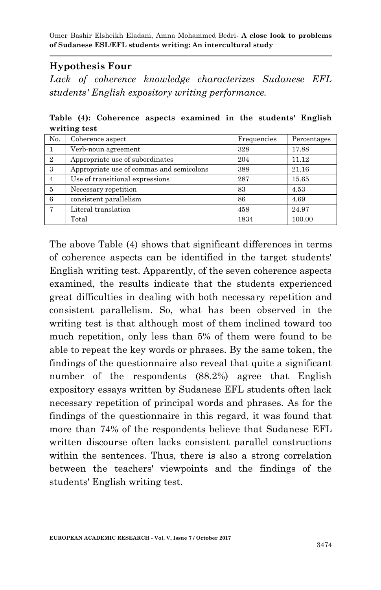## **Hypothesis Four**

*Lack of coherence knowledge characterizes Sudanese EFL students' English expository writing performance.*

**Table (4): Coherence aspects examined in the students' English writing test**

| N <sub>0</sub> . | Coherence aspect                         | Frequencies | Percentages |
|------------------|------------------------------------------|-------------|-------------|
|                  | Verb-noun agreement                      | 328         | 17.88       |
| $\overline{2}$   | Appropriate use of subordinates          | 204         | 11.12       |
| 3                | Appropriate use of commas and semicolons | 388         | 21.16       |
| 4                | Use of transitional expressions          | 287         | 15.65       |
| 5                | Necessary repetition                     | 83          | 4.53        |
| 6                | consistent parallelism                   | 86          | 4.69        |
|                  | Literal translation                      | 458         | 24.97       |
|                  | Total                                    | 1834        | 100.00      |

The above Table (4) shows that significant differences in terms of coherence aspects can be identified in the target students' English writing test. Apparently, of the seven coherence aspects examined, the results indicate that the students experienced great difficulties in dealing with both necessary repetition and consistent parallelism. So, what has been observed in the writing test is that although most of them inclined toward too much repetition, only less than 5% of them were found to be able to repeat the key words or phrases. By the same token, the findings of the questionnaire also reveal that quite a significant number of the respondents (88.2%) agree that English expository essays written by Sudanese EFL students often lack necessary repetition of principal words and phrases. As for the findings of the questionnaire in this regard, it was found that more than 74% of the respondents believe that Sudanese EFL written discourse often lacks consistent parallel constructions within the sentences. Thus, there is also a strong correlation between the teachers' viewpoints and the findings of the students' English writing test.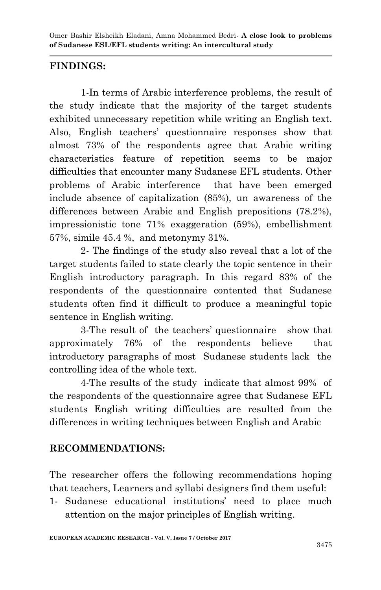## **FINDINGS:**

1-In terms of Arabic interference problems, the result of the study indicate that the majority of the target students exhibited unnecessary repetition while writing an English text. Also, English teachers" questionnaire responses show that almost 73% of the respondents agree that Arabic writing characteristics feature of repetition seems to be major difficulties that encounter many Sudanese EFL students. Other problems of Arabic interference that have been emerged include absence of capitalization (85%), un awareness of the differences between Arabic and English prepositions (78.2%), impressionistic tone 71% exaggeration (59%), embellishment 57%, simile 45.4 %, and metonymy 31%.

2- The findings of the study also reveal that a lot of the target students failed to state clearly the topic sentence in their English introductory paragraph. In this regard 83% of the respondents of the questionnaire contented that Sudanese students often find it difficult to produce a meaningful topic sentence in English writing.

3-The result of the teachers" questionnaire show that approximately 76% of the respondents believe that introductory paragraphs of most Sudanese students lack the controlling idea of the whole text.

4-The results of the study indicate that almost 99% of the respondents of the questionnaire agree that Sudanese EFL students English writing difficulties are resulted from the differences in writing techniques between English and Arabic

# **RECOMMENDATIONS:**

The researcher offers the following recommendations hoping that teachers, Learners and syllabi designers find them useful:

1- Sudanese educational institutions" need to place much attention on the major principles of English writing.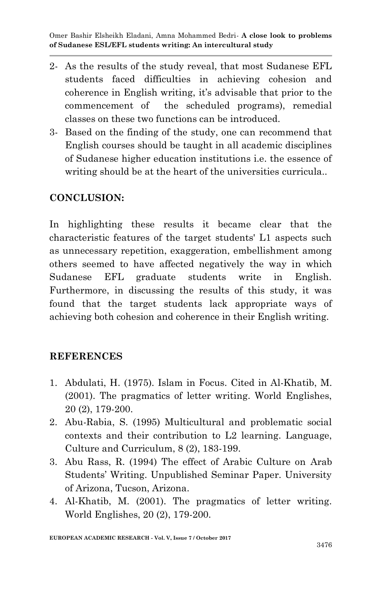- 2- As the results of the study reveal, that most Sudanese EFL students faced difficulties in achieving cohesion and coherence in English writing, it's advisable that prior to the commencement of the scheduled programs), remedial classes on these two functions can be introduced.
- 3- Based on the finding of the study, one can recommend that English courses should be taught in all academic disciplines of Sudanese higher education institutions i.e. the essence of writing should be at the heart of the universities curricula...

### **CONCLUSION:**

In highlighting these results it became clear that the characteristic features of the target students' L1 aspects such as unnecessary repetition, exaggeration, embellishment among others seemed to have affected negatively the way in which Sudanese EFL graduate students write in English. Furthermore, in discussing the results of this study, it was found that the target students lack appropriate ways of achieving both cohesion and coherence in their English writing.

#### **REFERENCES**

- 1. Abdulati, H. (1975). Islam in Focus. Cited in Al-Khatib, M. (2001). The pragmatics of letter writing. World Englishes, 20 (2), 179-200.
- 2. Abu-Rabia, S. (1995) Multicultural and problematic social contexts and their contribution to L2 learning. Language, Culture and Curriculum, 8 (2), 183-199.
- 3. Abu Rass, R. (1994) The effect of Arabic Culture on Arab Students" Writing. Unpublished Seminar Paper. University of Arizona, Tucson, Arizona.
- 4. Al-Khatib, M. (2001). The pragmatics of letter writing. World Englishes, 20 (2), 179-200.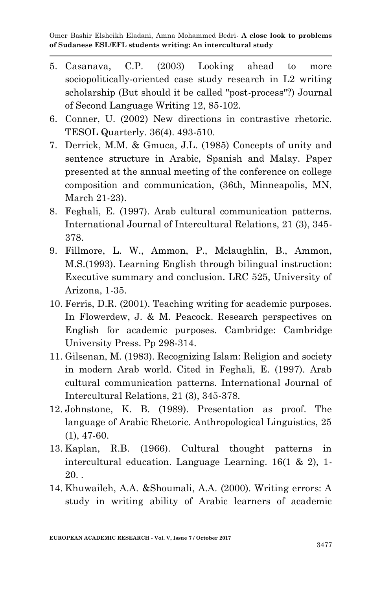- 5. Casanava, C.P. (2003) Looking ahead to more sociopolitically-oriented case study research in L2 writing scholarship (But should it be called "post-process"?) Journal of Second Language Writing 12, 85-102.
- 6. Conner, U. (2002) New directions in contrastive rhetoric. TESOL Quarterly. 36(4). 493-510.
- 7. Derrick, M.M. & Gmuca, J.L. (1985) Concepts of unity and sentence structure in Arabic, Spanish and Malay. Paper presented at the annual meeting of the conference on college composition and communication, (36th, Minneapolis, MN, March 21-23).
- 8. Feghali, E. (1997). Arab cultural communication patterns. International Journal of Intercultural Relations, 21 (3), 345- 378.
- 9. Fillmore, L. W., Ammon, P., Mclaughlin, B., Ammon, M.S.(1993). Learning English through bilingual instruction: Executive summary and conclusion. LRC 525, University of Arizona, 1-35.
- 10. Ferris, D.R. (2001). Teaching writing for academic purposes. In Flowerdew, J. & M. Peacock. Research perspectives on English for academic purposes. Cambridge: Cambridge University Press. Pp 298-314.
- 11. Gilsenan, M. (1983). Recognizing Islam: Religion and society in modern Arab world. Cited in Feghali, E. (1997). Arab cultural communication patterns. International Journal of Intercultural Relations, 21 (3), 345-378.
- 12. Johnstone, K. B. (1989). Presentation as proof. The language of Arabic Rhetoric. Anthropological Linguistics, 25 (1), 47-60.
- 13. Kaplan, R.B. (1966). Cultural thought patterns in intercultural education. Language Learning. 16(1 & 2), 1-  $20.$ .
- 14. Khuwaileh, A.A. &Shoumali, A.A. (2000). Writing errors: A study in writing ability of Arabic learners of academic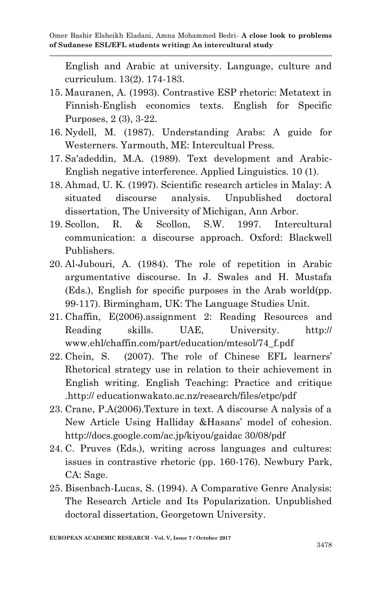English and Arabic at university. Language, culture and curriculum. 13(2). 174-183.

- 15. Mauranen, A. (1993). Contrastive ESP rhetoric: Metatext in Finnish-English economics texts. English for Specific Purposes, 2 (3), 3-22.
- 16. Nydell, M. (1987). Understanding Arabs: A guide for Westerners. Yarmouth, ME: Intercultual Press.
- 17. Sa'adeddin, M.A. (1989). Text development and Arabic-English negative interference. Applied Linguistics. 10 (1).
- 18. Ahmad, U. K. (1997). Scientific research articles in Malay: A situated discourse analysis. Unpublished doctoral dissertation, The University of Michigan, Ann Arbor.
- 19. Scollon, R. & Scollon, S.W. 1997. Intercultural communication: a discourse approach. Oxford: Blackwell Publishers.
- 20. Al-Jubouri, A. (1984). The role of repetition in Arabic argumentative discourse. In J. Swales and H. Mustafa (Eds.), English for specific purposes in the Arab world(pp. 99-117). Birmingham, UK: The Language Studies Unit.
- 21. Chaffin, E(2006).assignment 2: Reading Resources and Reading skills. UAE, University. http:// www.ehl/chaffin.com/part/education/mtesol/74\_f.pdf
- 22. Chein, S. (2007). The role of Chinese EFL learners" Rhetorical strategy use in relation to their achievement in English writing. English Teaching: Practice and critique .http:// educationwakato.ac.nz/research/files/etpc/pdf
- 23. Crane, P.A(2006).Texture in text. A discourse A nalysis of a New Article Using Halliday &Hasans" model of cohesion. http://docs.google.com/ac.jp/kiyou/gaidac 30/08/pdf
- 24. C. Pruves (Eds.), writing across languages and cultures: issues in contrastive rhetoric (pp. 160-176). Newbury Park, CA: Sage.
- 25. Bisenbach-Lucas, S. (1994). A Comparative Genre Analysis: The Research Article and Its Popularization. Unpublished doctoral dissertation, Georgetown University.